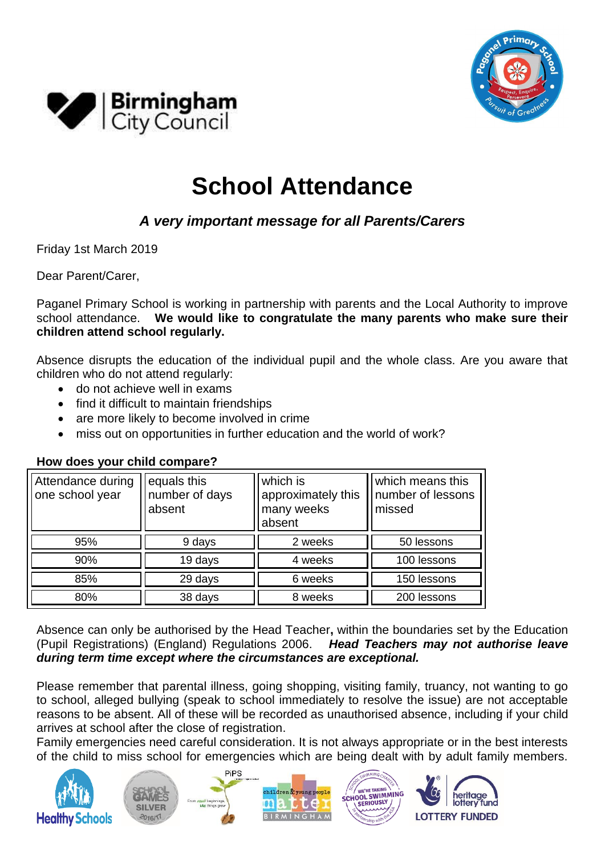



# **School Attendance**

## *A very important message for all Parents/Carers*

Friday 1st March 2019

Dear Parent/Carer,

Paganel Primary School is working in partnership with parents and the Local Authority to improve school attendance. **We would like to congratulate the many parents who make sure their children attend school regularly.**

Absence disrupts the education of the individual pupil and the whole class. Are you aware that children who do not attend regularly:

- do not achieve well in exams
- find it difficult to maintain friendships
- are more likely to become involved in crime
- miss out on opportunities in further education and the world of work?

| Attendance during<br>one school year | equals this<br>number of days<br>absent | which is<br>approximately this<br>many weeks<br>absent | which means this<br>number of lessons<br>missed |
|--------------------------------------|-----------------------------------------|--------------------------------------------------------|-------------------------------------------------|
| 95%                                  | 9 days                                  | 2 weeks                                                | 50 lessons                                      |
| 90%                                  | 19 days                                 | 4 weeks                                                | 100 lessons                                     |
| 85%                                  | 29 days                                 | 6 weeks                                                | 150 lessons                                     |
| 80%                                  | 38 days                                 | 8 weeks                                                | 200 lessons                                     |

### **How does your child compare?**

Absence can only be authorised by the Head Teacher**,** within the boundaries set by the Education (Pupil Registrations) (England) Regulations 2006. *Head Teachers may not authorise leave during term time except where the circumstances are exceptional.*

Please remember that parental illness, going shopping, visiting family, truancy, not wanting to go to school, alleged bullying (speak to school immediately to resolve the issue) are not acceptable reasons to be absent. All of these will be recorded as unauthorised absence, including if your child arrives at school after the close of registration.

Family emergencies need careful consideration. It is not always appropriate or in the best interests of the child to miss school for emergencies which are being dealt with by adult family members.